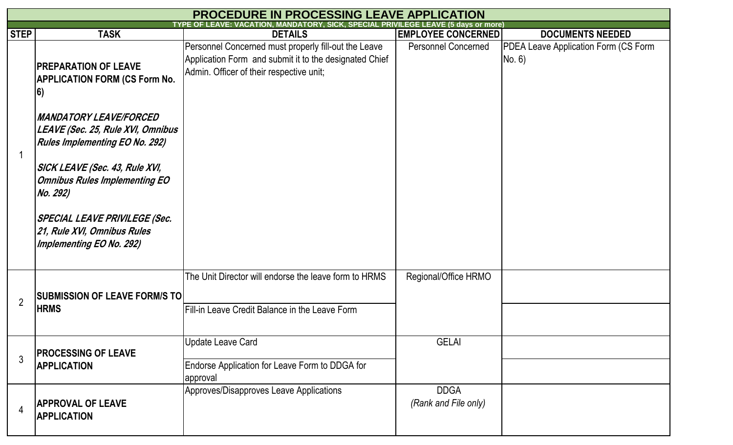|                | <b>PROCEDURE IN PROCESSING LEAVE APPLICATION</b>                                                            |                                                                                                                                                            |                                     |                                                       |  |  |  |
|----------------|-------------------------------------------------------------------------------------------------------------|------------------------------------------------------------------------------------------------------------------------------------------------------------|-------------------------------------|-------------------------------------------------------|--|--|--|
| <b>STEP</b>    | <b>TASK</b>                                                                                                 | <b>DETAILS</b>                                                                                                                                             | <b>EMPLOYEE CONCERNED</b>           | <b>DOCUMENTS NEEDED</b>                               |  |  |  |
|                | <b>PREPARATION OF LEAVE</b><br><b>APPLICATION FORM (CS Form No.</b><br> 6)                                  | Personnel Concerned must properly fill-out the Leave<br>Application Form and submit it to the designated Chief<br>Admin. Officer of their respective unit; | <b>Personnel Concerned</b>          | <b>PDEA Leave Application Form (CS Form</b><br>No. 6) |  |  |  |
|                | <b>MANDATORY LEAVE/FORCED</b><br>LEAVE (Sec. 25, Rule XVI, Omnibus<br><b>Rules Implementing EO No. 292)</b> |                                                                                                                                                            |                                     |                                                       |  |  |  |
|                | SICK LEAVE (Sec. 43, Rule XVI,<br><b>Omnibus Rules Implementing EO</b><br>No. 292)                          |                                                                                                                                                            |                                     |                                                       |  |  |  |
|                | SPECIAL LEAVE PRIVILEGE (Sec.<br>21, Rule XVI, Omnibus Rules<br><b>Implementing EO No. 292)</b>             |                                                                                                                                                            |                                     |                                                       |  |  |  |
| $\overline{2}$ | <b>SUBMISSION OF LEAVE FORM/S TO</b>                                                                        | The Unit Director will endorse the leave form to HRMS                                                                                                      | Regional/Office HRMO                |                                                       |  |  |  |
|                | <b>HRMS</b>                                                                                                 | Fill-in Leave Credit Balance in the Leave Form                                                                                                             |                                     |                                                       |  |  |  |
| 3              | <b>PROCESSING OF LEAVE</b><br><b>APPLICATION</b>                                                            | Update Leave Card                                                                                                                                          | <b>GELAI</b>                        |                                                       |  |  |  |
|                |                                                                                                             | Endorse Application for Leave Form to DDGA for<br>approval                                                                                                 |                                     |                                                       |  |  |  |
|                | <b>APPROVAL OF LEAVE</b><br><b>APPLICATION</b>                                                              | Approves/Disapproves Leave Applications                                                                                                                    | <b>DDGA</b><br>(Rank and File only) |                                                       |  |  |  |